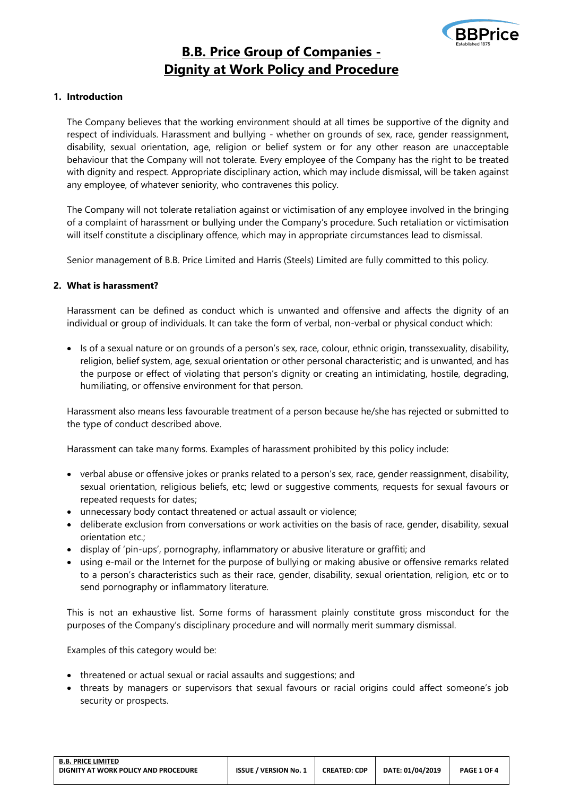

# **B.B. Price Group of Companies - Dignity at Work Policy and Procedure**

# **1. Introduction**

The Company believes that the working environment should at all times be supportive of the dignity and respect of individuals. Harassment and bullying - whether on grounds of sex, race, gender reassignment, disability, sexual orientation, age, religion or belief system or for any other reason are unacceptable behaviour that the Company will not tolerate. Every employee of the Company has the right to be treated with dignity and respect. Appropriate disciplinary action, which may include dismissal, will be taken against any employee, of whatever seniority, who contravenes this policy.

The Company will not tolerate retaliation against or victimisation of any employee involved in the bringing of a complaint of harassment or bullying under the Company's procedure. Such retaliation or victimisation will itself constitute a disciplinary offence, which may in appropriate circumstances lead to dismissal.

Senior management of B.B. Price Limited and Harris (Steels) Limited are fully committed to this policy.

# **2. What is harassment?**

Harassment can be defined as conduct which is unwanted and offensive and affects the dignity of an individual or group of individuals. It can take the form of verbal, non-verbal or physical conduct which:

• Is of a sexual nature or on grounds of a person's sex, race, colour, ethnic origin, transsexuality, disability, religion, belief system, age, sexual orientation or other personal characteristic; and is unwanted, and has the purpose or effect of violating that person's dignity or creating an intimidating, hostile, degrading, humiliating, or offensive environment for that person.

Harassment also means less favourable treatment of a person because he/she has rejected or submitted to the type of conduct described above.

Harassment can take many forms. Examples of harassment prohibited by this policy include:

- verbal abuse or offensive jokes or pranks related to a person's sex, race, gender reassignment, disability, sexual orientation, religious beliefs, etc; lewd or suggestive comments, requests for sexual favours or repeated requests for dates;
- unnecessary body contact threatened or actual assault or violence;
- deliberate exclusion from conversations or work activities on the basis of race, gender, disability, sexual orientation etc.;
- display of 'pin-ups', pornography, inflammatory or abusive literature or graffiti; and
- using e-mail or the Internet for the purpose of bullying or making abusive or offensive remarks related to a person's characteristics such as their race, gender, disability, sexual orientation, religion, etc or to send pornography or inflammatory literature.

This is not an exhaustive list. Some forms of harassment plainly constitute gross misconduct for the purposes of the Company's disciplinary procedure and will normally merit summary dismissal.

Examples of this category would be:

- threatened or actual sexual or racial assaults and suggestions; and
- threats by managers or supervisors that sexual favours or racial origins could affect someone's job security or prospects.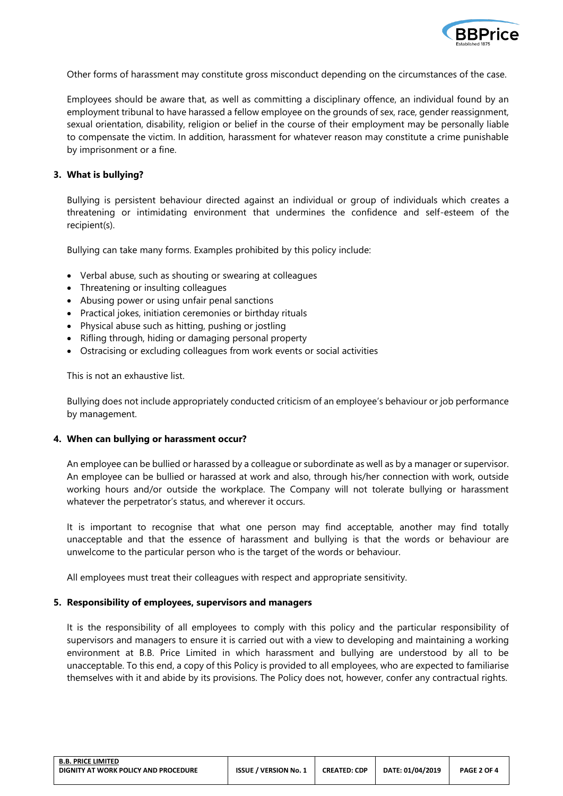

Other forms of harassment may constitute gross misconduct depending on the circumstances of the case.

Employees should be aware that, as well as committing a disciplinary offence, an individual found by an employment tribunal to have harassed a fellow employee on the grounds of sex, race, gender reassignment, sexual orientation, disability, religion or belief in the course of their employment may be personally liable to compensate the victim. In addition, harassment for whatever reason may constitute a crime punishable by imprisonment or a fine.

### **3. What is bullying?**

Bullying is persistent behaviour directed against an individual or group of individuals which creates a threatening or intimidating environment that undermines the confidence and self-esteem of the recipient(s).

Bullying can take many forms. Examples prohibited by this policy include:

- Verbal abuse, such as shouting or swearing at colleagues
- Threatening or insulting colleagues
- Abusing power or using unfair penal sanctions
- Practical jokes, initiation ceremonies or birthday rituals
- Physical abuse such as hitting, pushing or jostling
- Rifling through, hiding or damaging personal property
- Ostracising or excluding colleagues from work events or social activities

This is not an exhaustive list.

Bullying does not include appropriately conducted criticism of an employee's behaviour or job performance by management.

## **4. When can bullying or harassment occur?**

An employee can be bullied or harassed by a colleague or subordinate as well as by a manager or supervisor. An employee can be bullied or harassed at work and also, through his/her connection with work, outside working hours and/or outside the workplace. The Company will not tolerate bullying or harassment whatever the perpetrator's status, and wherever it occurs.

It is important to recognise that what one person may find acceptable, another may find totally unacceptable and that the essence of harassment and bullying is that the words or behaviour are unwelcome to the particular person who is the target of the words or behaviour.

All employees must treat their colleagues with respect and appropriate sensitivity.

#### **5. Responsibility of employees, supervisors and managers**

It is the responsibility of all employees to comply with this policy and the particular responsibility of supervisors and managers to ensure it is carried out with a view to developing and maintaining a working environment at B.B. Price Limited in which harassment and bullying are understood by all to be unacceptable. To this end, a copy of this Policy is provided to all employees, who are expected to familiarise themselves with it and abide by its provisions. The Policy does not, however, confer any contractual rights.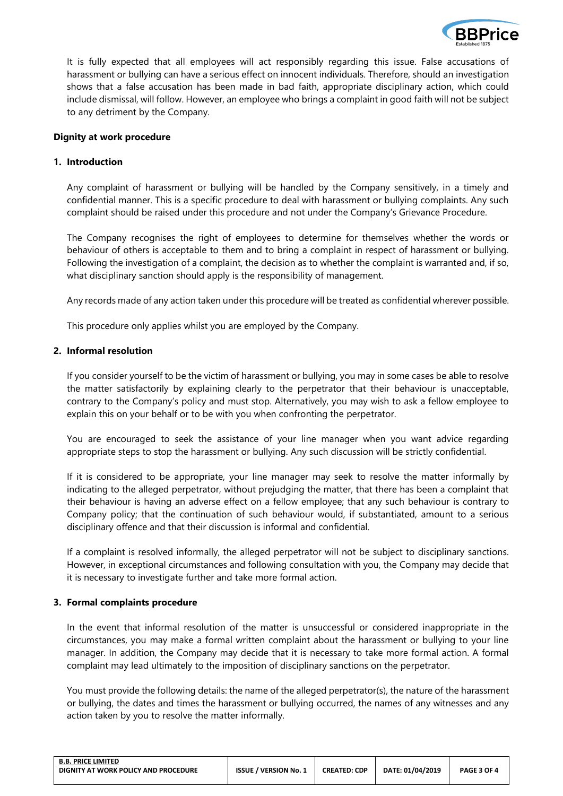

It is fully expected that all employees will act responsibly regarding this issue. False accusations of harassment or bullying can have a serious effect on innocent individuals. Therefore, should an investigation shows that a false accusation has been made in bad faith, appropriate disciplinary action, which could include dismissal, will follow. However, an employee who brings a complaint in good faith will not be subject to any detriment by the Company.

## **Dignity at work procedure**

## **1. Introduction**

Any complaint of harassment or bullying will be handled by the Company sensitively, in a timely and confidential manner. This is a specific procedure to deal with harassment or bullying complaints. Any such complaint should be raised under this procedure and not under the Company's Grievance Procedure.

The Company recognises the right of employees to determine for themselves whether the words or behaviour of others is acceptable to them and to bring a complaint in respect of harassment or bullying. Following the investigation of a complaint, the decision as to whether the complaint is warranted and, if so, what disciplinary sanction should apply is the responsibility of management.

Any records made of any action taken under this procedure will be treated as confidential wherever possible.

This procedure only applies whilst you are employed by the Company.

# **2. Informal resolution**

If you consider yourself to be the victim of harassment or bullying, you may in some cases be able to resolve the matter satisfactorily by explaining clearly to the perpetrator that their behaviour is unacceptable, contrary to the Company's policy and must stop. Alternatively, you may wish to ask a fellow employee to explain this on your behalf or to be with you when confronting the perpetrator.

You are encouraged to seek the assistance of your line manager when you want advice regarding appropriate steps to stop the harassment or bullying. Any such discussion will be strictly confidential.

If it is considered to be appropriate, your line manager may seek to resolve the matter informally by indicating to the alleged perpetrator, without prejudging the matter, that there has been a complaint that their behaviour is having an adverse effect on a fellow employee; that any such behaviour is contrary to Company policy; that the continuation of such behaviour would, if substantiated, amount to a serious disciplinary offence and that their discussion is informal and confidential.

If a complaint is resolved informally, the alleged perpetrator will not be subject to disciplinary sanctions. However, in exceptional circumstances and following consultation with you, the Company may decide that it is necessary to investigate further and take more formal action.

#### **3. Formal complaints procedure**

In the event that informal resolution of the matter is unsuccessful or considered inappropriate in the circumstances, you may make a formal written complaint about the harassment or bullying to your line manager. In addition, the Company may decide that it is necessary to take more formal action. A formal complaint may lead ultimately to the imposition of disciplinary sanctions on the perpetrator.

You must provide the following details: the name of the alleged perpetrator(s), the nature of the harassment or bullying, the dates and times the harassment or bullying occurred, the names of any witnesses and any action taken by you to resolve the matter informally.

| <b>B.B. PRICE LIMITED</b>            |                              |                     |                  |             |
|--------------------------------------|------------------------------|---------------------|------------------|-------------|
| DIGNITY AT WORK POLICY AND PROCEDURE | <b>ISSUE / VERSION No. 1</b> | <b>CREATED: CDP</b> | DATE: 01/04/2019 | PAGE 3 OF 4 |